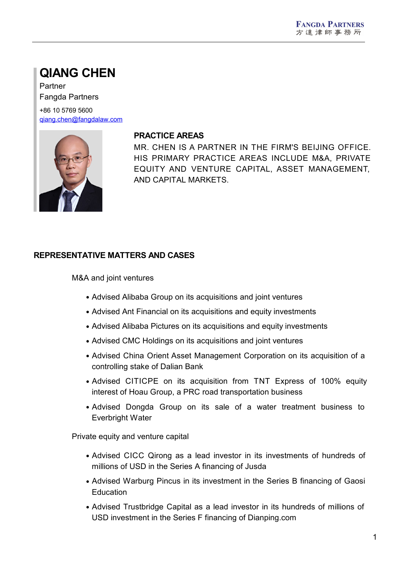# **QIANG CHEN**

Partner Fangda Partners

+86 10 5769 5600 [qiang.chen@fangdalaw.com](mailto:qiang.chen@fangdalaw.com)



#### **PRACTICE AREAS**

MR. CHEN IS A PARTNER IN THE FIRM'S BEIJING OFFICE. HIS PRIMARY PRACTICE AREAS INCLUDE M&A, PRIVATE EQUITY AND VENTURE CAPITAL, ASSET MANAGEMENT, AND CAPITAL MARKETS.

## **REPRESENTATIVE MATTERS AND CASES**

M&A and joint ventures

- Advised Alibaba Group on its acquisitions and joint ventures
- Advised Ant Financial on its acquisitions and equity investments
- Advised Alibaba Pictures on its acquisitions and equity investments
- Advised CMC Holdings on its acquisitions and joint ventures
- Advised China Orient Asset Management Corporation on its acquisition of a controlling stake of Dalian Bank
- Advised CITICPE on its acquisition from TNT Express of 100% equity interest of Hoau Group, a PRC road transportation business
- Advised Dongda Group on its sale of a water treatment business to Everbright Water

Private equity and venture capital

- Advised CICC Qirong as a lead investor in its investments of hundreds of millions of USD in the Series A financing of Jusda
- Advised Warburg Pincus in its investment in the Series B financing of Gaosi **Education**
- Advised Trustbridge Capital as a lead investor in its hundreds of millions of USD investment in the Series F financing of Dianping.com